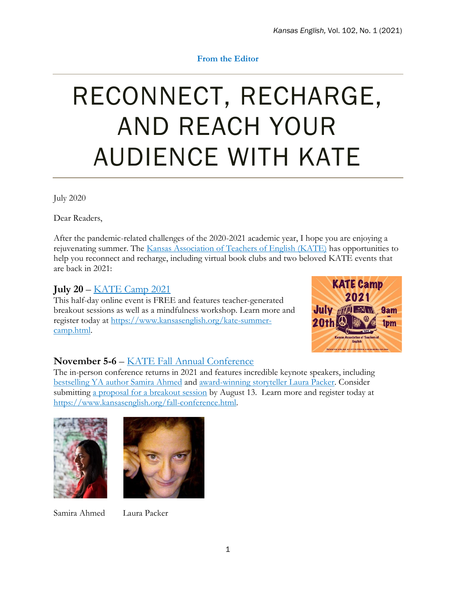### **From the Editor**

# RECONNECT, RECHARGE, AND REACH YOUR AUDIENCE WITH KATE

July 2020

Dear Readers,

After the pandemic-related challenges of the 2020-2021 academic year, I hope you are enjoying a rejuvenating summer. The [Kansas Association of Teachers of English \(KATE\)](https://www.kansasenglish.org/) has opportunities to help you reconnect and recharge, including virtual book clubs and two beloved KATE events that are back in 2021:

## **July 20** – [KATE Camp 2021](https://www.kansasenglish.org/kate-summer-camp.html)

This half-day online event is FREE and features teacher-generated breakout sessions as well as a mindfulness workshop. Learn more and register today at [https://www.kansasenglish.org/kate-summer](https://www.kansasenglish.org/kate-summer-camp.html)[camp.html.](https://www.kansasenglish.org/kate-summer-camp.html)



## **November 5-6** – [KATE Fall Annual Conference](https://www.kansasenglish.org/fall-conference.html)

The in-person conference returns in 2021 and features incredible keynote speakers, including [bestselling YA author Samira Ahmed](https://samiraahmed.com/) and [award-winning storyteller Laura Packer.](https://laurapacker.com/) Consider submitting a proposal [for a breakout session](https://www.kansasenglish.org/fall-conference.html) by August 13. Learn more and register today at [https://www.kansasenglish.org/fall-conference.html.](https://www.kansasenglish.org/fall-conference.html)





Samira Ahmed Laura Packer